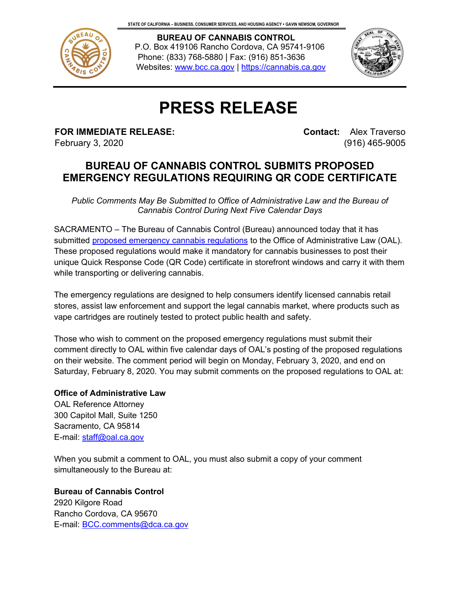

 **BUREAU OF CANNABIS CONTROL** P.O. Box 419106 Rancho Cordova, CA 95741-9106 Phone: (833) 768-5880 | Fax: (916) 851-3636 Websites: [www.bcc.ca.gov](http://www.bcc.ca.gov/) | [https://cannabis.ca.gov](https://cannabis.ca.gov/)



## **PRESS RELEASE**

**FOR IMMEDIATE RELEASE:** February 3, 2020

**Contact:** Alex Traverso (916) 465-9005

## **BUREAU OF CANNABIS CONTROL SUBMITS PROPOSED EMERGENCY REGULATIONS REQUIRING QR CODE CERTIFICATE**

*Public Comments May Be Submitted to Office of Administrative Law and the Bureau of Cannabis Control During Next Five Calendar Days*

SACRAMENTO – The Bureau of Cannabis Control (Bureau) announced today that it has submitted proposed [emergency cannabis regulations](https://bcc.ca.gov/law_regs/cannabis_regs.html) to the Office of Administrative Law (OAL). These proposed regulations would make it mandatory for cannabis businesses to post their unique Quick Response Code (QR Code) certificate in storefront windows and carry it with them while transporting or delivering cannabis.

The emergency regulations are designed to help consumers identify licensed cannabis retail stores, assist law enforcement and support the legal cannabis market, where products such as vape cartridges are routinely tested to protect public health and safety.

Those who wish to comment on the proposed emergency regulations must submit their comment directly to OAL within five calendar days of OAL's posting of the proposed regulations on their website. The comment period will begin on Monday, February 3, 2020, and end on Saturday, February 8, 2020. You may submit comments on the proposed regulations to OAL at:

## **Office of Administrative Law**

OAL Reference Attorney 300 Capitol Mall, Suite 1250 Sacramento, CA 95814 E-mail: [staff@oal.ca.gov](mailto:staff@oal.ca.gov)

When you submit a comment to OAL, you must also submit a copy of your comment simultaneously to the Bureau at:

**Bureau of Cannabis Control** 2920 Kilgore Road Rancho Cordova, CA 95670 E-mail: [BCC.comments@dca.ca.gov](mailto:BCC.comments@dca.ca.gov)